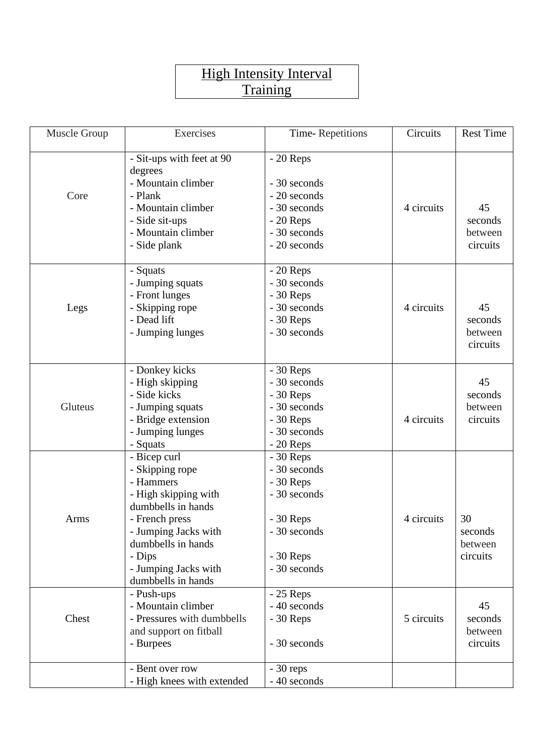## **High Intensity Interval Training**

| Muscle Group | Exercises                                                                                                                                                                                                          | Time-Repetitions                                                                                                     | Circuits   | <b>Rest Time</b>                     |
|--------------|--------------------------------------------------------------------------------------------------------------------------------------------------------------------------------------------------------------------|----------------------------------------------------------------------------------------------------------------------|------------|--------------------------------------|
| Core         | - Sit-ups with feet at 90                                                                                                                                                                                          | $-20$ Reps                                                                                                           |            |                                      |
|              | degrees<br>- Mountain climber<br>- Plank<br>- Mountain climber                                                                                                                                                     | - 30 seconds<br>- 20 seconds<br>- 30 seconds                                                                         | 4 circuits | 45                                   |
|              | - Side sit-ups<br>- Mountain climber<br>- Side plank                                                                                                                                                               | $-20$ Reps<br>- 30 seconds<br>- 20 seconds                                                                           |            | seconds<br>between<br>circuits       |
| Legs         | - Squats<br>- Jumping squats<br>- Front lunges<br>- Skipping rope<br>- Dead lift<br>- Jumping lunges                                                                                                               | $-20$ Reps<br>- 30 seconds<br>$-30$ Reps<br>- 30 seconds<br>$-30$ Reps<br>- 30 seconds                               | 4 circuits | 45<br>seconds<br>between<br>circuits |
| Gluteus      | - Donkey kicks<br>- High skipping<br>- Side kicks<br>- Jumping squats<br>- Bridge extension<br>- Jumping lunges<br>- Squats                                                                                        | $-30$ Reps<br>- 30 seconds<br>$-30$ Reps<br>- 30 seconds<br>$-30$ Reps<br>- 30 seconds<br>$-20$ Reps                 | 4 circuits | 45<br>seconds<br>between<br>circuits |
| Arms         | - Bicep curl<br>- Skipping rope<br>- Hammers<br>- High skipping with<br>dumbbells in hands<br>- French press<br>- Jumping Jacks with<br>dumbbells in hands<br>- Dips<br>- Jumping Jacks with<br>dumbbells in hands | $-30$ Reps<br>- 30 seconds<br>$-30$ Reps<br>- 30 seconds<br>$-30$ Reps<br>- 30 seconds<br>$-30$ Reps<br>- 30 seconds | 4 circuits | 30<br>seconds<br>between<br>circuits |
| Chest        | - Push-ups<br>- Mountain climber<br>- Pressures with dumbbells<br>and support on fitball<br>- Burpees                                                                                                              | $-25$ Reps<br>- 40 seconds<br>$-30$ Reps<br>- 30 seconds                                                             | 5 circuits | 45<br>seconds<br>between<br>circuits |
|              | - Bent over row<br>- High knees with extended                                                                                                                                                                      | $-30$ reps<br>- 40 seconds                                                                                           |            |                                      |